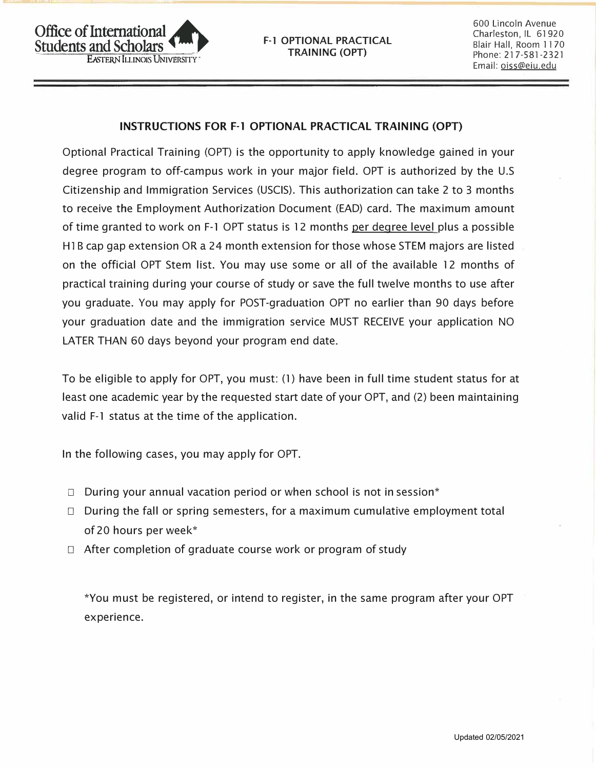600 Lincoln Avenue Charleston, IL 61920 Blair Hall, Room 11 70 Phone: 217-581-2321 Email: oiss@eiu.edu

# **INSTRUCTIONS FOR F-1 OPTIONAL PRACTICAL TRAINING (OPT)**

Optional Practical Training (OPT) is the opportunity to apply knowledge gained in your degree program to off-campus work in your major field. OPT is authorized by the U.S Citizenship and Immigration Services (USCIS). This authorization can take 2 to 3 months to receive the Employment Authorization Document (EAD) card. The maximum amount of time granted to work on F-1 OPT status is 12 months per degree level plus a possible · H1B cap gap extension OR a 24 month extension for those whose STEM majors are listed on the official OPT Stem list. You may use some or all of the available 12 months of practical training during your course of study or save the full twelve months to use after you graduate. You may apply for POST-graduation OPT no earlier than 90 days before your graduation date and the immigration service MUST RECEIVE your application NO LATER THAN 60 days beyond your program end date.

To be eligible to apply for OPT, you must: (1) have been in full time student status for at least one academic year by the requested start date of your OPT, and (2) been maintaining valid F-1 status at the time of the application.

In the following cases, you may apply for OPT.

- $\Box$  During your annual vacation period or when school is not in session\*
- $\Box$  During the fall or spring semesters, for a maximum cumulative employment total of 20 hours per week\*
- $\Box$  After completion of graduate course work or program of study

\*You must be registered, or intend to register, in the same program after your OPT experience.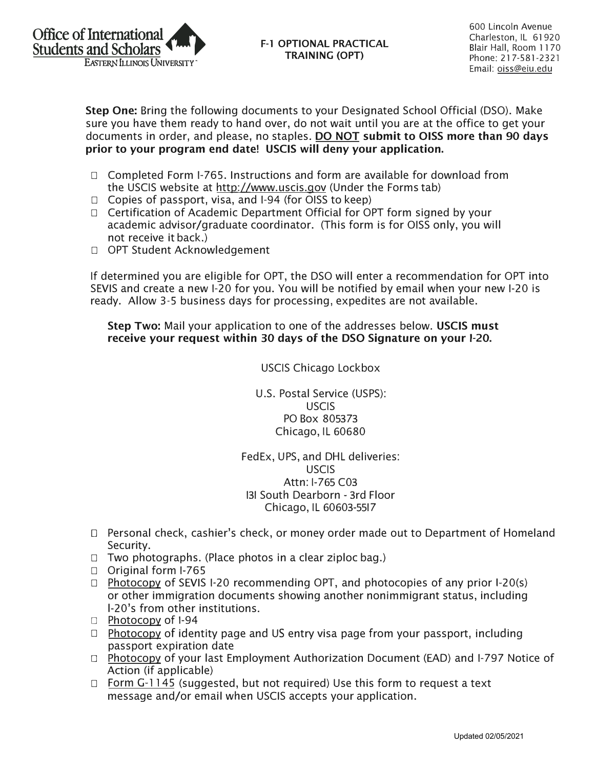

**F-1 OPTIONAL PRACTICAL TRAINING (OPT)** 

600 Lincoln Avenue Charleston, IL 61 920 Blair Hall, Room 11 70 Phone: 217-581-2321 Email: oiss@eiu.edu

**Step One:** Bring the following documents to your Designated School Official (DSO). Make sure you have them ready to hand over, do not wait until you are at the office to get your documents in order, and please, no staples. **DO NOT submit to OISS more than 90 days prior to your program end date! USCIS will deny your application.** 

- $\Box$  Completed Form I-765. Instructions and form are available for download from the USCIS website at http://www.uscis.gov (Under the Forms tab)
- $\Box$  Copies of passport, visa, and I-94 (for OISS to keep)
- $\Box$  Certification of Academic Department Official for OPT form signed by your academic advisor/graduate coordinator. (This form is for 0155 only, you will not receive it back.)
- □ OPT Student Acknowledgement

If determined you are eligible for OPT, the DSO will enter a recommendation for OPT into SEVIS and create a new 1-20 for you. You will be notified by email when your new 1-20 is ready. Allow 3-5 business days for processing, expedites are not available.

**Step Two:** Mail your application to one of the addresses below. **USCIS must receive your request within 30 days of the DSO Signature on your 1-20.** 

USCIS Chicago Lockbox

U.S. Postal Service (USPS): USCIS PO Box 805373 Chicago, IL 60680

FedEx, UPS, and DHL deliveries: USCIS Attn: I-765 C03 131 South Dearborn - 3rd Floor Chicago, IL 60603-5517

- $\Box$  Personal check, cashier's check, or money order made out to Department of Homeland Security.
- $\Box$  Two photographs. (Place photos in a clear ziploc bag.)
- $\Box$  Original form I-765
- $\Box$  Photocopy of SEVIS I-20 recommending OPT, and photocopies of any prior I-20(s) or other immigration documents showing another nonimmigrant status, including l-20's from other institutions.
- □ Photocopy of I-94
- $\Box$  Photocopy of identity page and US entry visa page from your passport, including passport expiration date
- $\Box$  Photocopy of your last Employment Authorization Document (EAD) and I-797 Notice of Action (if applicable)
- $\Box$  Form G-1145 (suggested, but not required) Use this form to request a text message and/or email when USCIS accepts your application.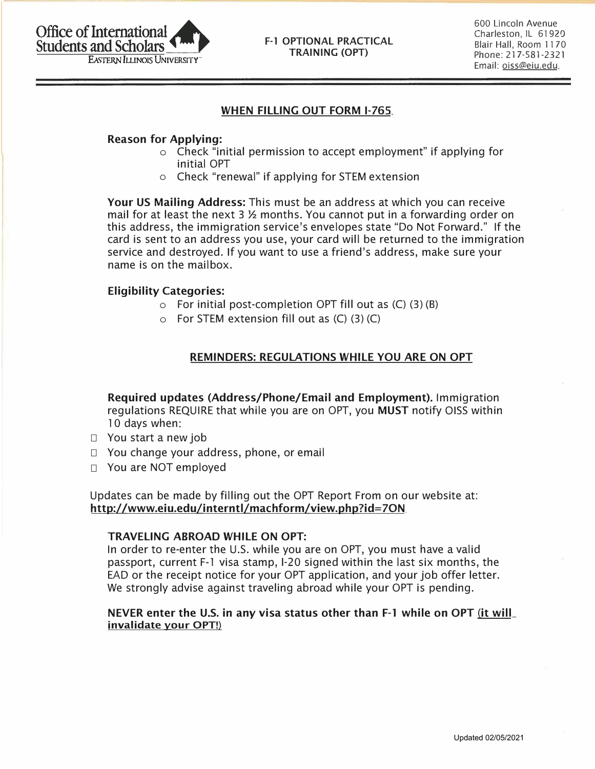## **F-1 OPTIONAL PRACTICAL TRAINING (OPT)**

600 Lincoln Avenue Charleston, IL 61920 Blair Hall, Room 11 70 Phone: 217-581-2321 Email: oiss@eiu.edu

# **WHEN FILLING OUT FORM 1-765**

## **Reason for Applying:**

- o Check "initial permission to accept employment" if applying for initial OPT
- o Check "renewal" if applying for STEM extension

**Your US Mailing Address:** This must be an address at which you can receive mail for at least the next 3  $\frac{1}{2}$  months. You cannot put in a forwarding order on this address, the immigration service's envelopes state "Do Not Forward." If the card is sent to an address you use, your card will be returned to the immigration service and destroyed. If you want to use a friend's address, make sure your name is on the mailbox.

## **Eligibility Categories:**

- $\circ$  For initial post-completion OPT fill out as  $(C)$  (3) (B)
- $\circ$  For STEM extension fill out as  $(C)$  (3) (C)

# **REMINDERS: REGULATIONS WHILE YOU ARE ON OPT**

**Required updates (Address/Phone/Email and Employment).** Immigration regulations REQUIRE that while you are on OPT, you **MUST** notify 0155 within 10 days when:

- $\Box$  You start a new job
- $\Box$  You change your address, phone, or email
- □ You are NOT employed

Updates can be made by filling out the OPT Report From on our website at: **http://www.eiu.edu/interntl/machform/view.php?id=70N** 

#### **TRAVELING ABROAD WHILE ON OPT:**

In order to re-enter the U.S. while you are on OPT, you must have a valid passport, current F-1 visa stamp, 1-20 signed within the last six months, the EAD or the receipt notice for your OPT application, and your job offer letter. We strongly advise against traveling abroad while your OPT is pending.

## **NEVER enter the U.S. in any visa status other than F-1 while on OPT (it will invalidate your OPT!)**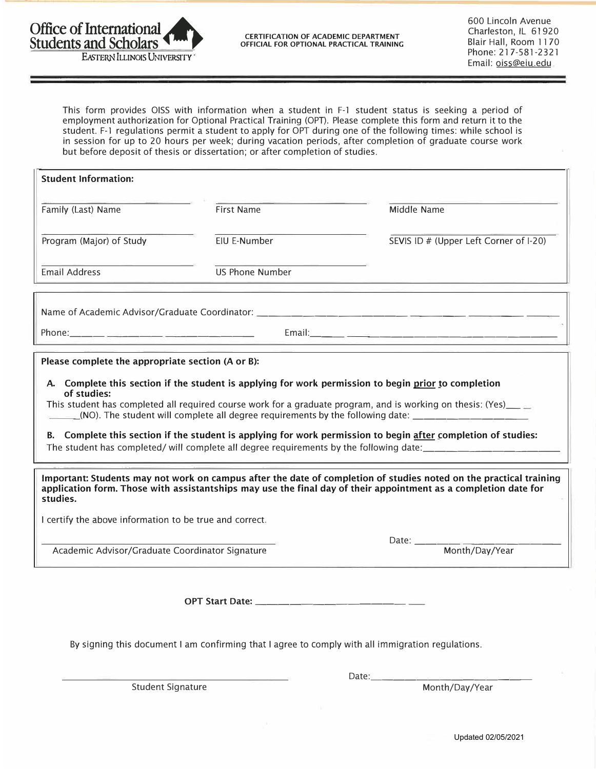

**OFFICIAL FOR OPTIONAL PRACTICAL TRAINING** 

600 Lincoln Avenue Charleston, IL 61920 Blair Hall, Room 11 70 Phone: 217-581-2321 EXTERN ILLINOIS UNIVERSITY" 
EMAIL: <u>OISS</u>@eiu\_edu<br>
Email: <u>Oiss@eiu\_edu</u>

This form provides OISS with information when a student in F-1 student status is seeking a period of employment authorization for Optional Practical Training (OPT). Please complete this form and return it to the student. F-1 regulations permit a student to apply for OPT during one of the following times: while school is in session for up to 20 hours per week; during vacation periods, after completion of graduate course work but before deposit of thesis or dissertation; or after completion of studies.

| <b>Student Information:</b>                                                                                                                                                                                                                                                                                                                                                                                                                                                                                                                                                                                                                                                                           |                   |                                                                                   |  |  |  |  |  |  |
|-------------------------------------------------------------------------------------------------------------------------------------------------------------------------------------------------------------------------------------------------------------------------------------------------------------------------------------------------------------------------------------------------------------------------------------------------------------------------------------------------------------------------------------------------------------------------------------------------------------------------------------------------------------------------------------------------------|-------------------|-----------------------------------------------------------------------------------|--|--|--|--|--|--|
|                                                                                                                                                                                                                                                                                                                                                                                                                                                                                                                                                                                                                                                                                                       |                   |                                                                                   |  |  |  |  |  |  |
| Family (Last) Name                                                                                                                                                                                                                                                                                                                                                                                                                                                                                                                                                                                                                                                                                    | <b>First Name</b> | Middle Name                                                                       |  |  |  |  |  |  |
| Program (Major) of Study                                                                                                                                                                                                                                                                                                                                                                                                                                                                                                                                                                                                                                                                              | EIU E-Number      | SEVIS ID # (Upper Left Corner of I-20)                                            |  |  |  |  |  |  |
| <b>Email Address</b>                                                                                                                                                                                                                                                                                                                                                                                                                                                                                                                                                                                                                                                                                  | US Phone Number   |                                                                                   |  |  |  |  |  |  |
|                                                                                                                                                                                                                                                                                                                                                                                                                                                                                                                                                                                                                                                                                                       |                   | Name of Academic Advisor/Graduate Coordinator: __________________________________ |  |  |  |  |  |  |
|                                                                                                                                                                                                                                                                                                                                                                                                                                                                                                                                                                                                                                                                                                       |                   |                                                                                   |  |  |  |  |  |  |
| Please complete the appropriate section (A or B):                                                                                                                                                                                                                                                                                                                                                                                                                                                                                                                                                                                                                                                     |                   |                                                                                   |  |  |  |  |  |  |
| A. Complete this section if the student is applying for work permission to begin prior to completion<br>of studies:<br>This student has completed all required course work for a graduate program, and is working on thesis: (Yes)__ $\equiv$<br>(NO). The student will complete all degree requirements by the following date:<br>B. Complete this section if the student is applying for work permission to begin after completion of studies:<br>Important: Students may not work on campus after the date of completion of studies noted on the practical training<br>application form. Those with assistantships may use the final day of their appointment as a completion date for<br>studies. |                   |                                                                                   |  |  |  |  |  |  |
| I certify the above information to be true and correct.                                                                                                                                                                                                                                                                                                                                                                                                                                                                                                                                                                                                                                               |                   |                                                                                   |  |  |  |  |  |  |
|                                                                                                                                                                                                                                                                                                                                                                                                                                                                                                                                                                                                                                                                                                       |                   |                                                                                   |  |  |  |  |  |  |
| Academic Advisor/Graduate Coordinator Signature                                                                                                                                                                                                                                                                                                                                                                                                                                                                                                                                                                                                                                                       |                   | Month/Day/Year                                                                    |  |  |  |  |  |  |
| OPT Start Date: _____<br>By signing this document I am confirming that I agree to comply with all immigration regulations.                                                                                                                                                                                                                                                                                                                                                                                                                                                                                                                                                                            |                   |                                                                                   |  |  |  |  |  |  |
| <b>Student Signature</b>                                                                                                                                                                                                                                                                                                                                                                                                                                                                                                                                                                                                                                                                              |                   | Date: Month/Day/Year                                                              |  |  |  |  |  |  |
|                                                                                                                                                                                                                                                                                                                                                                                                                                                                                                                                                                                                                                                                                                       |                   |                                                                                   |  |  |  |  |  |  |